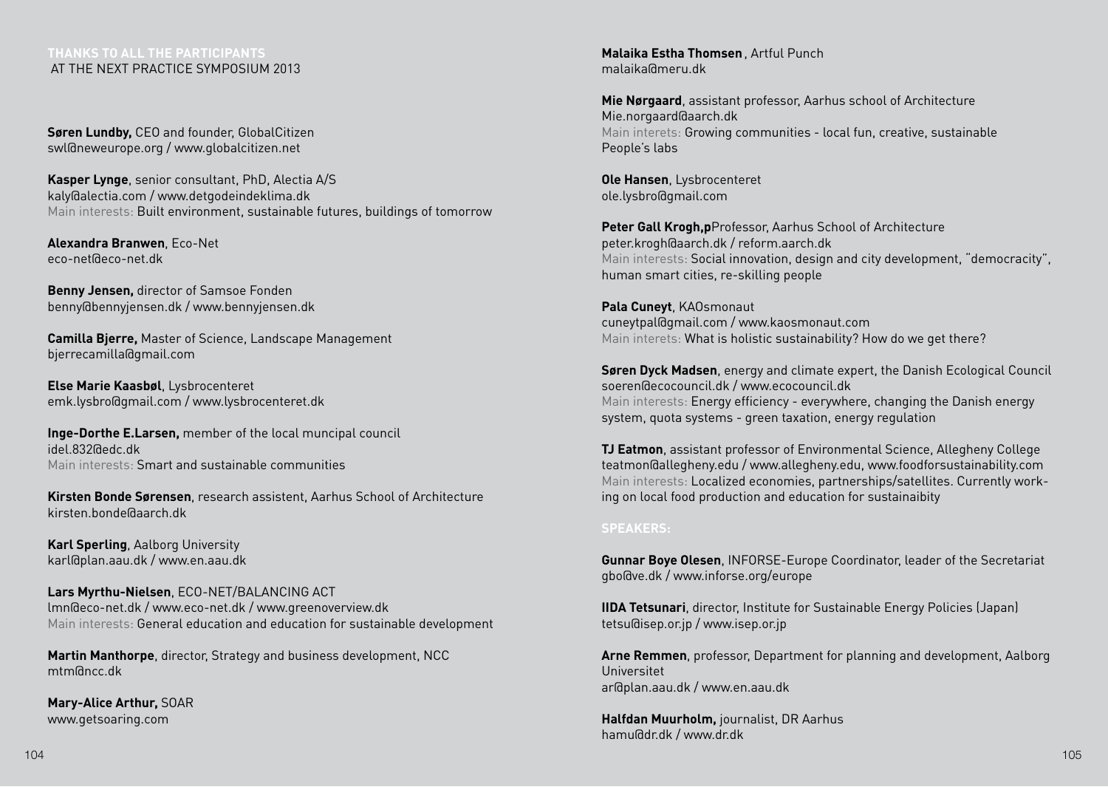## **thanks to all the participants**  at the next practice symposium 2013

**Søren Lundby,** CEO and founder, GlobalCitizen swl@neweurope.org / www.globalcitizen.net

**Kasper Lynge**, senior consultant, PhD, Alectia A/S kaly@alectia.com / www.detgodeindeklima.dk Main interests: Built environment, sustainable futures, buildings of tomorrow

**Alexandra Branwen**, Eco-Net eco-net@eco-net.dk

**Benny Jensen,** director of Samsoe Fonden benny@bennyjensen.dk / www.bennyjensen.dk

**Camilla Bjerre,** Master of Science, Landscape Management bjerrecamilla@gmail.com

**Else Marie Kaasbøl**, Lysbrocenteret emk.lysbro@gmail.com / www.lysbrocenteret.dk

**Inge-Dorthe E.Larsen,** member of the local muncipal council idel.832@edc.dk Main interests: Smart and sustainable communities

**Kirsten Bonde Sørensen**, research assistent, Aarhus School of Architecture kirsten.bonde@aarch.dk

**Karl Sperling**, Aalborg University karl@plan.aau.dk / www.en.aau.dk

**Lars Myrthu-Nielsen**, ECO-NET/BALANCING ACT lmn@eco-net.dk / www.eco-net.dk / www.greenoverview.dk Main interests: General education and education for sustainable development

**Martin Manthorpe**, director, Strategy and business development, NCC mtm@ncc.dk

**Mary-Alice Arthur,** SOAR www.getsoaring.com

**Malaika Estha Thomsen**, Artful Punch malaika@meru.dk

**Mie Nørgaard**, assistant professor, Aarhus school of Architecture Mie.norgaard@aarch.dk Main interets: Growing communities - local fun, creative, sustainable People's labs

**Ole Hansen**, Lysbrocenteret ole.lysbro@gmail.com

**Peter Gall Krogh,p**Professor, Aarhus School of Architecture peter.krogh@aarch.dk / reform.aarch.dk Main interests: Social innovation, design and city development, "democracity", human smart cities, re-skilling people

**Pala Cuneyt**, KAOsmonaut cuneytpal@gmail.com / www.kaosmonaut.com Main interets: What is holistic sustainability? How do we get there?

**Søren Dyck Madsen**, energy and climate expert, the Danish Ecological Council soeren@ecocouncil.dk / www.ecocouncil.dk Main interests: Energy efficiency - everywhere, changing the Danish energy system, quota systems - green taxation, energy regulation

**TJ Eatmon**, assistant professor of Environmental Science, Allegheny College teatmon@allegheny.edu / www.allegheny.edu, www.foodforsustainability.com Main interests: Localized economies, partnerships/satellites. Currently working on local food production and education for sustainaibity

## **SPEAKERS:**

**Gunnar Boye Olesen**, INFORSE-Europe Coordinator, leader of the Secretariat gbo@ve.dk / www.inforse.org/europe

**IIDA Tetsunari**, director, Institute for Sustainable Energy Policies (Japan) tetsu@isep.or.jp / www.isep.or.jp

**Arne Remmen**, professor, Department for planning and development, Aalborg Universitet ar@plan.aau.dk / www.en.aau.dk

**Halfdan Muurholm,** journalist, DR Aarhus hamu@dr.dk / www.dr.dk